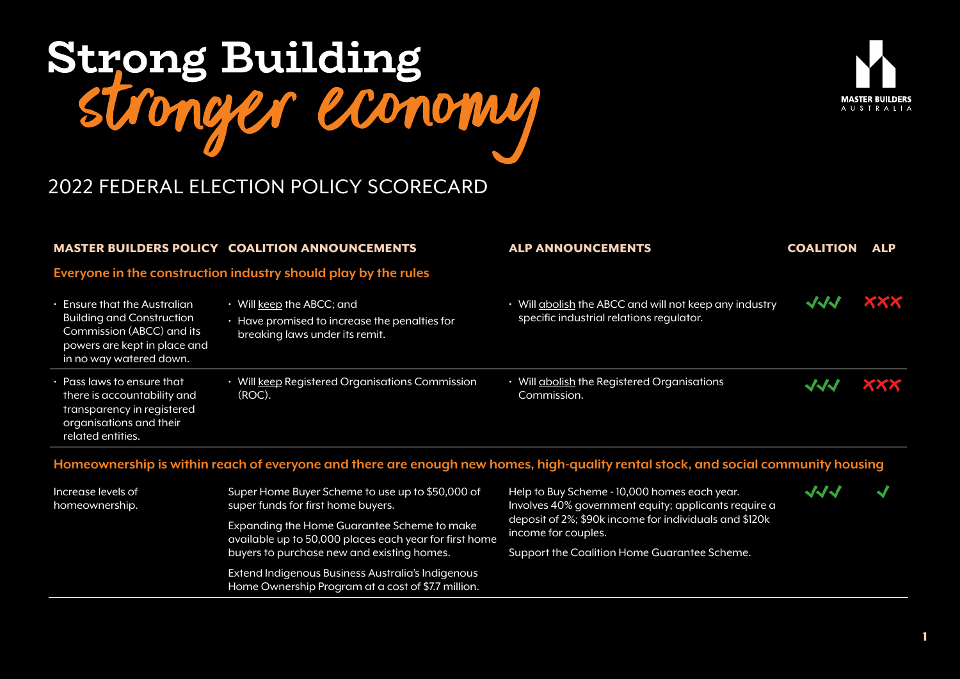

Expanding the Home Guarantee Scheme to make available up to 50,000 places each year for first home

Extend Indigenous Business Australia's Indigenous Home Ownership Program at a cost of \$7.7 million.

buyers to purchase new and existing homes.



# 2022 FEDERAL ELECTION POLICY SCORECARD

|                                                                                                                                                          | <b>MASTER BUILDERS POLICY COALITION ANNOUNCEMENTS</b>                                                                    | <b>ALP ANNOUNCEMENTS</b>                                                                                                          | <b>COALITION</b> | <b>ALP</b> |
|----------------------------------------------------------------------------------------------------------------------------------------------------------|--------------------------------------------------------------------------------------------------------------------------|-----------------------------------------------------------------------------------------------------------------------------------|------------------|------------|
|                                                                                                                                                          | Everyone in the construction industry should play by the rules                                                           |                                                                                                                                   |                  |            |
| • Ensure that the Australian<br><b>Building and Construction</b><br>Commission (ABCC) and its<br>powers are kept in place and<br>in no way watered down. | $\cdot$ Will keep the ABCC; and<br>$\cdot$ Have promised to increase the penalties for<br>breaking laws under its remit. | • Will abolish the ABCC and will not keep any industry<br>specific industrial relations regulator.                                | <b>JJJ</b>       | <b>XXX</b> |
| • Pass laws to ensure that<br>there is accountability and<br>transparency in registered<br>organisations and their<br>related entities.                  | • Will keep Registered Organisations Commission<br>(ROC).                                                                | Will abolish the Registered Organisations<br>Commission.                                                                          | JJJ              | <b>XXX</b> |
|                                                                                                                                                          |                                                                                                                          | Homeownership is within reach of everyone and there are enough new homes, high-quality rental stock, and social community housing |                  |            |
| Increase levels of<br>homeownership.                                                                                                                     | Super Home Buyer Scheme to use up to \$50,000 of<br>super funds for first home buyers.                                   | Help to Buy Scheme - 10,000 homes each year.<br>Involves 40% government equity; applicants require a                              | $\sqrt{2}$       |            |
|                                                                                                                                                          | Evagading the Hame Cugrantee Schame to make                                                                              | deposit of 2%; \$90k income for individuals and \$120k                                                                            |                  |            |

Support the Coalition Home Guarantee Scheme.

income for couples.

1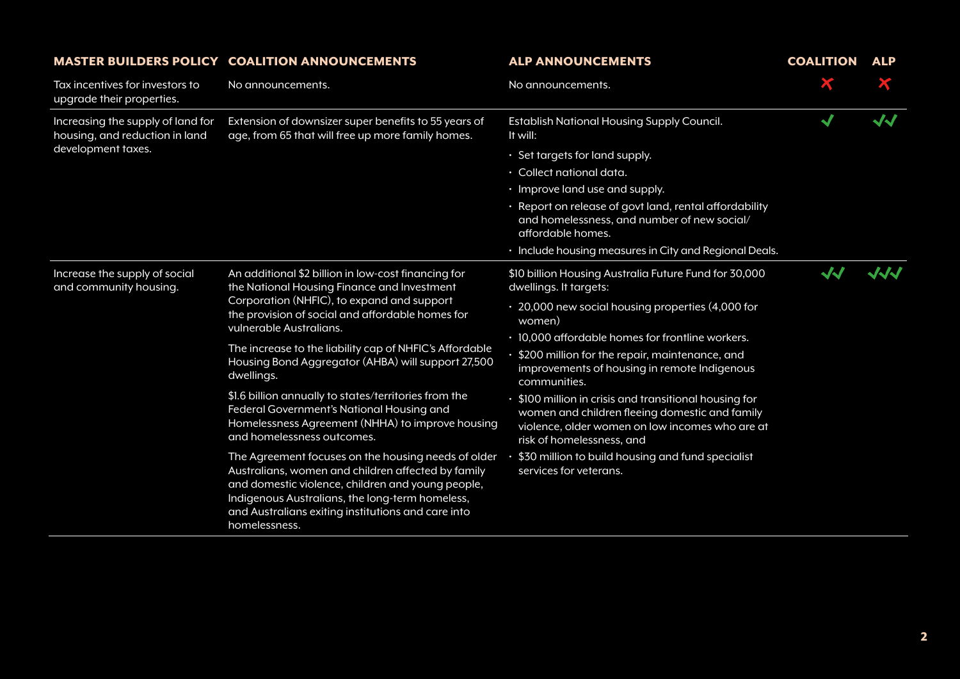|                                                                                           | <b>MASTER BUILDERS POLICY COALITION ANNOUNCEMENTS</b>                                                                                                                                                                                                                                                                                                                                                                                                                                                                                                                                                                                                                                                                                                                                                                                              | <b>ALP ANNOUNCEMENTS</b>                                                                                                                                                                                                                                                                                                                                                                                                                                                                                                                                                                                | <b>COALITION</b>           | <b>ALP</b> |
|-------------------------------------------------------------------------------------------|----------------------------------------------------------------------------------------------------------------------------------------------------------------------------------------------------------------------------------------------------------------------------------------------------------------------------------------------------------------------------------------------------------------------------------------------------------------------------------------------------------------------------------------------------------------------------------------------------------------------------------------------------------------------------------------------------------------------------------------------------------------------------------------------------------------------------------------------------|---------------------------------------------------------------------------------------------------------------------------------------------------------------------------------------------------------------------------------------------------------------------------------------------------------------------------------------------------------------------------------------------------------------------------------------------------------------------------------------------------------------------------------------------------------------------------------------------------------|----------------------------|------------|
| Tax incentives for investors to<br>upgrade their properties.                              | No announcements.                                                                                                                                                                                                                                                                                                                                                                                                                                                                                                                                                                                                                                                                                                                                                                                                                                  | No announcements.                                                                                                                                                                                                                                                                                                                                                                                                                                                                                                                                                                                       |                            |            |
| Increasing the supply of land for<br>housing, and reduction in land<br>development taxes. | Extension of downsizer super benefits to 55 years of<br>age, from 65 that will free up more family homes.                                                                                                                                                                                                                                                                                                                                                                                                                                                                                                                                                                                                                                                                                                                                          | Establish National Housing Supply Council.<br>It will:                                                                                                                                                                                                                                                                                                                                                                                                                                                                                                                                                  | $\blacktriangleleft$       | JJ         |
|                                                                                           |                                                                                                                                                                                                                                                                                                                                                                                                                                                                                                                                                                                                                                                                                                                                                                                                                                                    | • Set targets for land supply.<br>· Collect national data.<br>$\cdot$ Improve land use and supply.<br>· Report on release of govt land, rental affordability<br>and homelessness, and number of new social/<br>affordable homes.<br>· Include housing measures in City and Regional Deals.                                                                                                                                                                                                                                                                                                              |                            |            |
| Increase the supply of social<br>and community housing.                                   | An additional \$2 billion in low-cost financing for<br>the National Housing Finance and Investment<br>Corporation (NHFIC), to expand and support<br>the provision of social and affordable homes for<br>vulnerable Australians.<br>The increase to the liability cap of NHFIC's Affordable<br>Housing Bond Aggregator (AHBA) will support 27,500<br>dwellings.<br>\$1.6 billion annually to states/territories from the<br>Federal Government's National Housing and<br>Homelessness Agreement (NHHA) to improve housing<br>and homelessness outcomes.<br>The Agreement focuses on the housing needs of older<br>Australians, women and children affected by family<br>and domestic violence, children and young people,<br>Indigenous Australians, the long-term homeless,<br>and Australians exiting institutions and care into<br>homelessness. | \$10 billion Housing Australia Future Fund for 30,000<br>dwellings. It targets:<br>· 20,000 new social housing properties (4,000 for<br>women)<br>• 10,000 affordable homes for frontline workers.<br>$\cdot$ \$200 million for the repair, maintenance, and<br>improvements of housing in remote Indigenous<br>communities.<br>• \$100 million in crisis and transitional housing for<br>women and children fleeing domestic and family<br>violence, older women on low incomes who are at<br>risk of homelessness, and<br>\$30 million to build housing and fund specialist<br>services for veterans. | $\boldsymbol{\mathcal{N}}$ | JJJ        |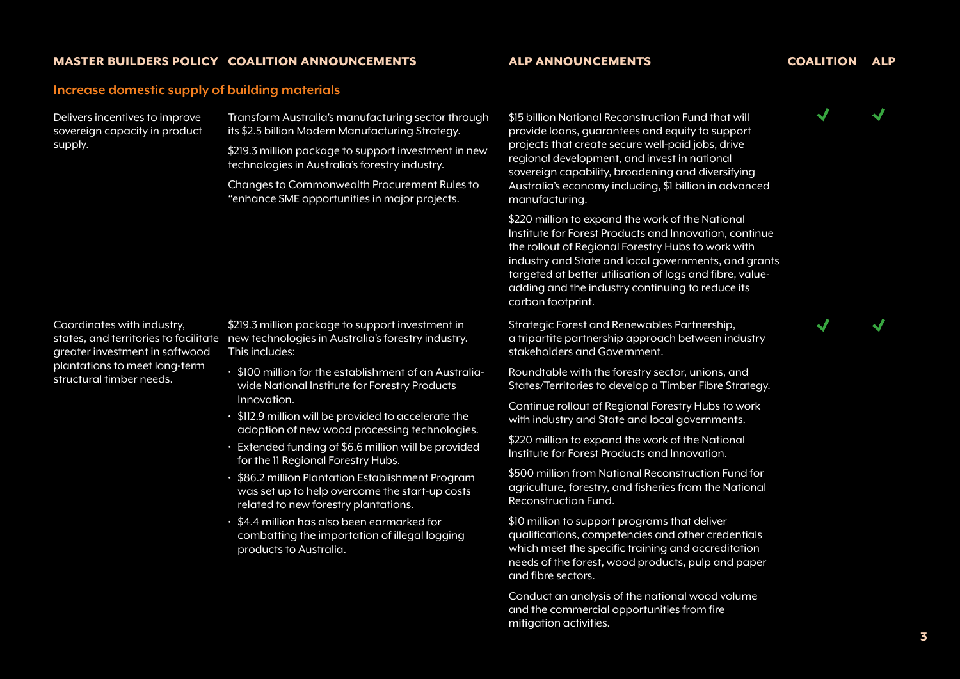# **Increase domestic supply of building materials**

| Delivers incentives to improve<br>sovereign capacity in product<br>supply.                                                | Transform Australia's manufacturing sector through<br>its \$2.5 billion Modern Manufacturing Strategy.<br>\$219.3 million package to support investment in new<br>technologies in Australia's forestry industry.<br>Changes to Commonwealth Procurement Rules to<br>"enhance SME opportunities in major projects. | \$15 billion National Reconstruction Fund that will<br>provide loans, guarantees and equity to support<br>projects that create secure well-paid jobs, drive<br>regional development, and invest in national<br>sovereign capability, broadening and diversifying<br>Australia's economy including, \$1 billion in advanced<br>manufacturing.<br>\$220 million to expand the work of the National<br>Institute for Forest Products and Innovation, continue<br>the rollout of Regional Forestry Hubs to work with<br>industry and State and local governments, and grants<br>targeted at better utilisation of logs and fibre, value-<br>adding and the industry continuing to reduce its<br>carbon footprint. | √                    |                      |
|---------------------------------------------------------------------------------------------------------------------------|-------------------------------------------------------------------------------------------------------------------------------------------------------------------------------------------------------------------------------------------------------------------------------------------------------------------|---------------------------------------------------------------------------------------------------------------------------------------------------------------------------------------------------------------------------------------------------------------------------------------------------------------------------------------------------------------------------------------------------------------------------------------------------------------------------------------------------------------------------------------------------------------------------------------------------------------------------------------------------------------------------------------------------------------|----------------------|----------------------|
|                                                                                                                           |                                                                                                                                                                                                                                                                                                                   |                                                                                                                                                                                                                                                                                                                                                                                                                                                                                                                                                                                                                                                                                                               |                      |                      |
|                                                                                                                           |                                                                                                                                                                                                                                                                                                                   |                                                                                                                                                                                                                                                                                                                                                                                                                                                                                                                                                                                                                                                                                                               |                      |                      |
|                                                                                                                           |                                                                                                                                                                                                                                                                                                                   |                                                                                                                                                                                                                                                                                                                                                                                                                                                                                                                                                                                                                                                                                                               |                      |                      |
| Coordinates with industry,<br>greater investment in softwood<br>plantations to meet long-term<br>structural timber needs. | \$219.3 million package to support investment in<br>states, and territories to facilitate new technologies in Australia's forestry industry.<br>This includes:                                                                                                                                                    | Strategic Forest and Renewables Partnership,<br>a tripartite partnership approach between industry<br>stakeholders and Government.                                                                                                                                                                                                                                                                                                                                                                                                                                                                                                                                                                            | $\blacktriangledown$ | $\blacktriangleleft$ |
|                                                                                                                           | · \$100 million for the establishment of an Australia-<br>wide National Institute for Forestry Products<br>Innovation.<br>• \$112.9 million will be provided to accelerate the<br>adoption of new wood processing technologies.<br>· Extended funding of \$6.6 million will be provided                           | Roundtable with the forestry sector, unions, and<br>States/Territories to develop a Timber Fibre Strategy.                                                                                                                                                                                                                                                                                                                                                                                                                                                                                                                                                                                                    |                      |                      |
|                                                                                                                           |                                                                                                                                                                                                                                                                                                                   | Continue rollout of Regional Forestry Hubs to work<br>with industry and State and local governments.                                                                                                                                                                                                                                                                                                                                                                                                                                                                                                                                                                                                          |                      |                      |
|                                                                                                                           |                                                                                                                                                                                                                                                                                                                   | \$220 million to expand the work of the National<br>Institute for Forest Products and Innovation.                                                                                                                                                                                                                                                                                                                                                                                                                                                                                                                                                                                                             |                      |                      |
|                                                                                                                           | for the II Regional Forestry Hubs.<br>\$86.2 million Plantation Establishment Program<br>was set up to help overcome the start-up costs<br>related to new forestry plantations.                                                                                                                                   | \$500 million from National Reconstruction Fund for<br>agriculture, forestry, and fisheries from the National<br>Reconstruction Fund.                                                                                                                                                                                                                                                                                                                                                                                                                                                                                                                                                                         |                      |                      |
|                                                                                                                           | • \$4.4 million has also been earmarked for<br>combatting the importation of illegal logging<br>products to Australia.                                                                                                                                                                                            | \$10 million to support programs that deliver<br>qualifications, competencies and other credentials<br>which meet the specific training and accreditation<br>needs of the forest, wood products, pulp and paper<br>and fibre sectors.                                                                                                                                                                                                                                                                                                                                                                                                                                                                         |                      |                      |
|                                                                                                                           |                                                                                                                                                                                                                                                                                                                   | Conduct an analysis of the national wood volume<br>and the commercial opportunities from fire<br>mitigation activities.                                                                                                                                                                                                                                                                                                                                                                                                                                                                                                                                                                                       |                      |                      |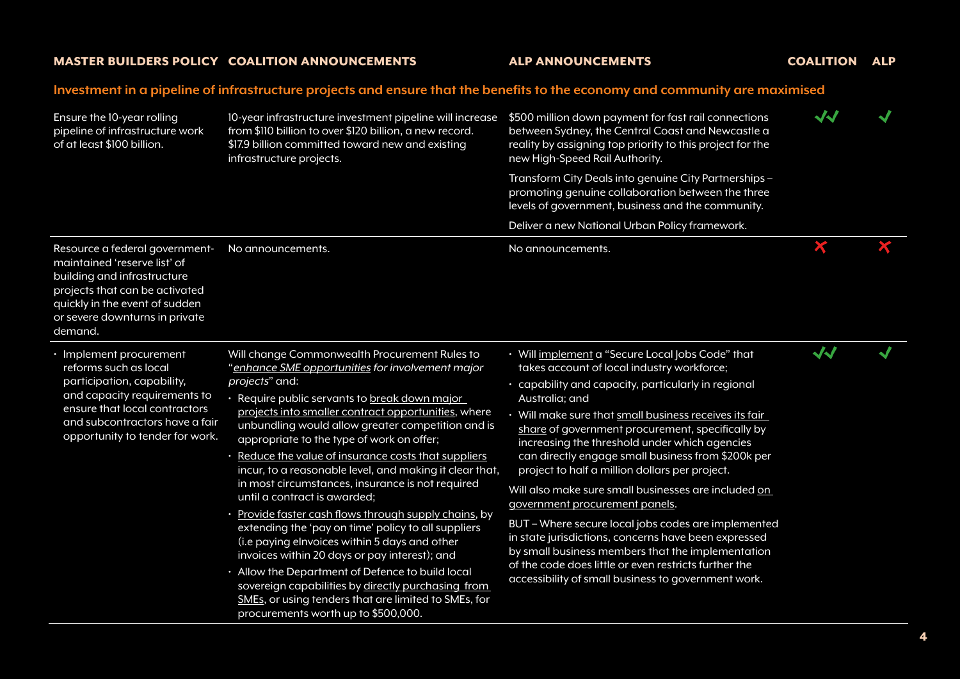### **Investment in a pipeline of infrastructure projects and ensure that the benefits to the economy and community are maximised**

| Ensure the 10-year rolling<br>pipeline of infrastructure work<br>of at least \$100 billion.                                                                                                                          | 10-year infrastructure investment pipeline will increase<br>from \$110 billion to over \$120 billion, a new record.<br>\$17.9 billion committed toward new and existing<br>infrastructure projects.                                                                                                                                                                                                                                                                                                                                                                                                                                                                                                                                                                                                                                                                                                                                                           | \$500 million down payment for fast rail connections<br>between Sydney, the Central Coast and Newcastle a<br>reality by assigning top priority to this project for the<br>new High-Speed Rail Authority.                                                                                                                                                                                                                                                                                                                                                                                                                                                                                                                                                                                                                     | $\boldsymbol{\checkmark}$ |   |
|----------------------------------------------------------------------------------------------------------------------------------------------------------------------------------------------------------------------|---------------------------------------------------------------------------------------------------------------------------------------------------------------------------------------------------------------------------------------------------------------------------------------------------------------------------------------------------------------------------------------------------------------------------------------------------------------------------------------------------------------------------------------------------------------------------------------------------------------------------------------------------------------------------------------------------------------------------------------------------------------------------------------------------------------------------------------------------------------------------------------------------------------------------------------------------------------|------------------------------------------------------------------------------------------------------------------------------------------------------------------------------------------------------------------------------------------------------------------------------------------------------------------------------------------------------------------------------------------------------------------------------------------------------------------------------------------------------------------------------------------------------------------------------------------------------------------------------------------------------------------------------------------------------------------------------------------------------------------------------------------------------------------------------|---------------------------|---|
|                                                                                                                                                                                                                      |                                                                                                                                                                                                                                                                                                                                                                                                                                                                                                                                                                                                                                                                                                                                                                                                                                                                                                                                                               | Transform City Deals into genuine City Partnerships -<br>promoting genuine collaboration between the three<br>levels of government, business and the community.                                                                                                                                                                                                                                                                                                                                                                                                                                                                                                                                                                                                                                                              |                           |   |
|                                                                                                                                                                                                                      |                                                                                                                                                                                                                                                                                                                                                                                                                                                                                                                                                                                                                                                                                                                                                                                                                                                                                                                                                               | Deliver a new National Urban Policy framework.                                                                                                                                                                                                                                                                                                                                                                                                                                                                                                                                                                                                                                                                                                                                                                               |                           |   |
| Resource a federal government-<br>maintained 'reserve list' of<br>building and infrastructure<br>projects that can be activated<br>quickly in the event of sudden<br>or severe downturns in private<br>demand.       | No announcements.                                                                                                                                                                                                                                                                                                                                                                                                                                                                                                                                                                                                                                                                                                                                                                                                                                                                                                                                             | No announcements.                                                                                                                                                                                                                                                                                                                                                                                                                                                                                                                                                                                                                                                                                                                                                                                                            | X                         | Ж |
| · Implement procurement<br>reforms such as local<br>participation, capability,<br>and capacity requirements to<br>ensure that local contractors<br>and subcontractors have a fair<br>opportunity to tender for work. | Will change Commonwealth Procurement Rules to<br>"enhance SME opportunities for involvement major<br>projects" and:<br>· Require public servants to break down major<br>projects into smaller contract opportunities, where<br>unbundling would allow greater competition and is<br>appropriate to the type of work on offer;<br>Reduce the value of insurance costs that suppliers<br>incur, to a reasonable level, and making it clear that,<br>in most circumstances, insurance is not required<br>until a contract is awarded;<br>· Provide faster cash flows through supply chains, by<br>extending the 'pay on time' policy to all suppliers<br>(i.e paying elnvoices within 5 days and other<br>invoices within 20 days or pay interest); and<br>· Allow the Department of Defence to build local<br>sovereign capabilities by directly purchasing from<br>SMEs, or using tenders that are limited to SMEs, for<br>procurements worth up to \$500,000. | • Will implement a "Secure Local Jobs Code" that<br>takes account of local industry workforce;<br>· capability and capacity, particularly in regional<br>Australia; and<br>· Will make sure that small business receives its fair<br>share of government procurement, specifically by<br>increasing the threshold under which agencies<br>can directly engage small business from \$200k per<br>project to half a million dollars per project.<br>Will also make sure small businesses are included on<br>government procurement panels.<br>BUT - Where secure local jobs codes are implemented<br>in state jurisdictions, concerns have been expressed<br>by small business members that the implementation<br>of the code does little or even restricts further the<br>accessibility of small business to government work. | $\sqrt{2}$                |   |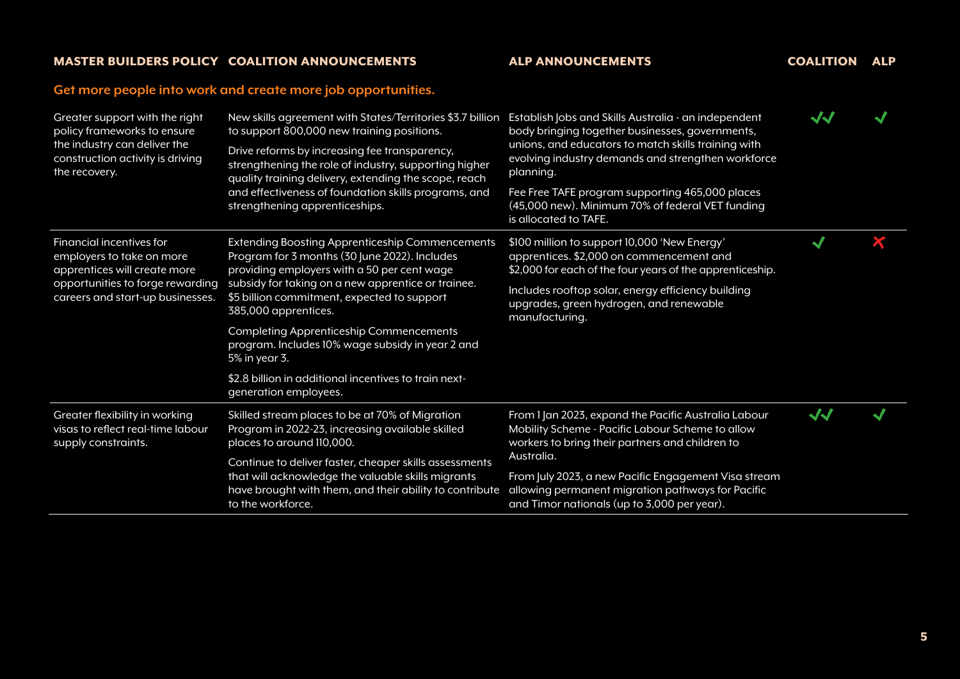## **Get more people into work and create more job opportunities.**

| Greater support with the right<br>policy frameworks to ensure<br>the industry can deliver the<br>construction activity is driving<br>the recovery.            | New skills agreement with States/Territories \$3.7 billion<br>to support 800,000 new training positions.<br>Drive reforms by increasing fee transparency,<br>strengthening the role of industry, supporting higher<br>quality training delivery, extending the scope, reach<br>and effectiveness of foundation skills programs, and<br>strengthening apprenticeships. | Establish Jobs and Skills Australia - an independent<br>body bringing together businesses, governments,<br>unions, and educators to match skills training with<br>evolving industry demands and strengthen workforce<br>planning.<br>Fee Free TAFE program supporting 465,000 places<br>(45,000 new). Minimum 70% of federal VET funding<br>is allocated to TAFE. | $\boldsymbol{\mathcal{N}}$ |  |
|---------------------------------------------------------------------------------------------------------------------------------------------------------------|-----------------------------------------------------------------------------------------------------------------------------------------------------------------------------------------------------------------------------------------------------------------------------------------------------------------------------------------------------------------------|-------------------------------------------------------------------------------------------------------------------------------------------------------------------------------------------------------------------------------------------------------------------------------------------------------------------------------------------------------------------|----------------------------|--|
| Financial incentives for<br>employers to take on more<br>apprentices will create more<br>opportunities to forge rewarding<br>careers and start-up businesses. | <b>Extending Boosting Apprenticeship Commencements</b><br>Program for 3 months (30 June 2022). Includes<br>providing employers with a 50 per cent wage<br>subsidy for taking on a new apprentice or trainee.<br>\$5 billion commitment, expected to support<br>385,000 apprentices.                                                                                   | \$100 million to support 10,000 'New Energy'<br>apprentices. \$2,000 on commencement and<br>\$2,000 for each of the four years of the apprenticeship.<br>Includes rooftop solar, energy efficiency building<br>upgrades, green hydrogen, and renewable<br>manufacturing.                                                                                          |                            |  |
|                                                                                                                                                               | Completing Apprenticeship Commencements<br>program. Includes 10% wage subsidy in year 2 and<br>5% in year 3.                                                                                                                                                                                                                                                          |                                                                                                                                                                                                                                                                                                                                                                   |                            |  |
|                                                                                                                                                               | \$2.8 billion in additional incentives to train next-<br>generation employees.                                                                                                                                                                                                                                                                                        |                                                                                                                                                                                                                                                                                                                                                                   |                            |  |
| Greater flexibility in working<br>visas to reflect real-time labour<br>supply constraints.                                                                    | Skilled stream places to be at 70% of Migration<br>Program in 2022-23, increasing available skilled<br>places to around 110,000.                                                                                                                                                                                                                                      | From 1 Jan 2023, expand the Pacific Australia Labour<br>Mobility Scheme - Pacific Labour Scheme to allow<br>workers to bring their partners and children to                                                                                                                                                                                                       | くく                         |  |
|                                                                                                                                                               | Continue to deliver faster, cheaper skills assessments<br>that will acknowledge the valuable skills migrants<br>have brought with them, and their ability to contribute<br>to the workforce.                                                                                                                                                                          | Australia.<br>From July 2023, a new Pacific Engagement Visa stream<br>allowing permanent migration pathways for Pacific<br>and Timor nationals (up to 3,000 per year).                                                                                                                                                                                            |                            |  |